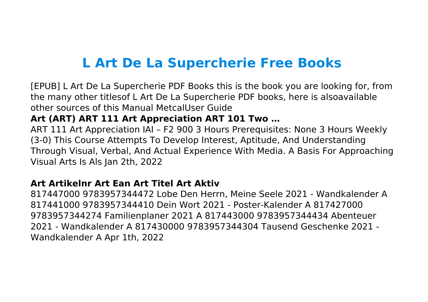# **L Art De La Supercherie Free Books**

[EPUB] L Art De La Supercherie PDF Books this is the book you are looking for, from the many other titlesof L Art De La Supercherie PDF books, here is alsoavailable other sources of this Manual MetcalUser Guide

## **Art (ART) ART 111 Art Appreciation ART 101 Two …**

ART 111 Art Appreciation IAI – F2 900 3 Hours Prerequisites: None 3 Hours Weekly (3-0) This Course Attempts To Develop Interest, Aptitude, And Understanding Through Visual, Verbal, And Actual Experience With Media. A Basis For Approaching Visual Arts Is Als Jan 2th, 2022

#### **Art Artikelnr Art Ean Art Titel Art Aktiv**

817447000 9783957344472 Lobe Den Herrn, Meine Seele 2021 - Wandkalender A 817441000 9783957344410 Dein Wort 2021 - Poster-Kalender A 817427000 9783957344274 Familienplaner 2021 A 817443000 9783957344434 Abenteuer 2021 - Wandkalender A 817430000 9783957344304 Tausend Geschenke 2021 - Wandkalender A Apr 1th, 2022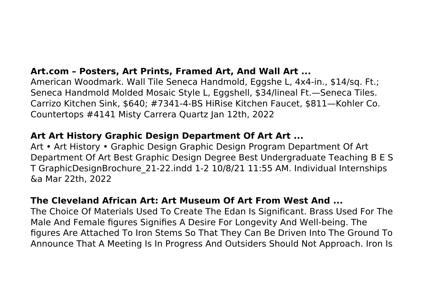## **Art.com – Posters, Art Prints, Framed Art, And Wall Art ...**

American Woodmark. Wall Tile Seneca Handmold, Eggshe L, 4x4-in., \$14/sq. Ft.; Seneca Handmold Molded Mosaic Style L, Eggshell, \$34/lineal Ft.—Seneca Tiles. Carrizo Kitchen Sink, \$640; #7341-4-BS HiRise Kitchen Faucet, \$811—Kohler Co. Countertops #4141 Misty Carrera Quartz Jan 12th, 2022

#### **Art Art History Graphic Design Department Of Art Art ...**

Art • Art History • Graphic Design Graphic Design Program Department Of Art Department Of Art Best Graphic Design Degree Best Undergraduate Teaching B E S T GraphicDesignBrochure\_21-22.indd 1-2 10/8/21 11:55 AM. Individual Internships &a Mar 22th, 2022

#### **The Cleveland African Art: Art Museum Of Art From West And ...**

The Choice Of Materials Used To Create The Edan Is Significant. Brass Used For The Male And Female figures Signifies A Desire For Longevity And Well-being. The figures Are Attached To Iron Stems So That They Can Be Driven Into The Ground To Announce That A Meeting Is In Progress And Outsiders Should Not Approach. Iron Is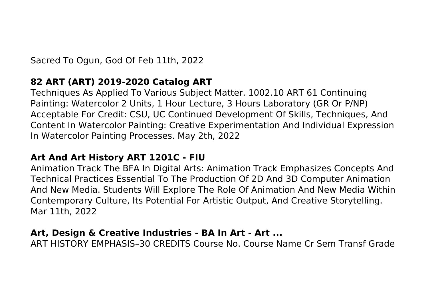Sacred To Ogun, God Of Feb 11th, 2022

## **82 ART (ART) 2019-2020 Catalog ART**

Techniques As Applied To Various Subject Matter. 1002.10 ART 61 Continuing Painting: Watercolor 2 Units, 1 Hour Lecture, 3 Hours Laboratory (GR Or P/NP) Acceptable For Credit: CSU, UC Continued Development Of Skills, Techniques, And Content In Watercolor Painting: Creative Experimentation And Individual Expression In Watercolor Painting Processes. May 2th, 2022

#### **Art And Art History ART 1201C - FIU**

Animation Track The BFA In Digital Arts: Animation Track Emphasizes Concepts And Technical Practices Essential To The Production Of 2D And 3D Computer Animation And New Media. Students Will Explore The Role Of Animation And New Media Within Contemporary Culture, Its Potential For Artistic Output, And Creative Storytelling. Mar 11th, 2022

#### **Art, Design & Creative Industries - BA In Art - Art ...**

ART HISTORY EMPHASIS–30 CREDITS Course No. Course Name Cr Sem Transf Grade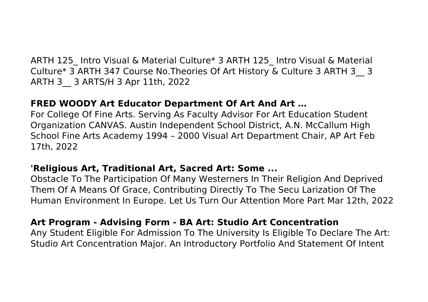ARTH 125\_ Intro Visual & Material Culture\* 3 ARTH 125\_ Intro Visual & Material Culture\* 3 ARTH 347 Course No.Theories Of Art History & Culture 3 ARTH 3\_\_ 3 ARTH 3\_\_ 3 ARTS/H 3 Apr 11th, 2022

#### **FRED WOODY Art Educator Department Of Art And Art …**

For College Of Fine Arts. Serving As Faculty Advisor For Art Education Student Organization CANVAS. Austin Independent School District, A.N. McCallum High School Fine Arts Academy 1994 – 2000 Visual Art Department Chair, AP Art Feb 17th, 2022

## **'Religious Art, Traditional Art, Sacred Art: Some ...**

Obstacle To The Participation Of Many Westerners In Their Religion And Deprived Them Of A Means Of Grace, Contributing Directly To The Secu Larization Of The Human Environment In Europe. Let Us Turn Our Attention More Part Mar 12th, 2022

## **Art Program - Advising Form - BA Art: Studio Art Concentration**

Any Student Eligible For Admission To The University Is Eligible To Declare The Art: Studio Art Concentration Major. An Introductory Portfolio And Statement Of Intent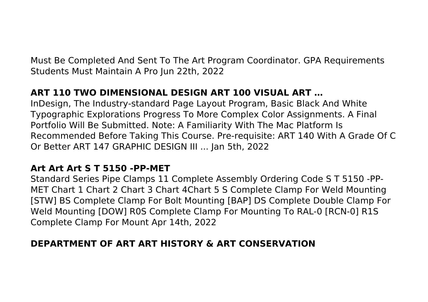Must Be Completed And Sent To The Art Program Coordinator. GPA Requirements Students Must Maintain A Pro Jun 22th, 2022

# **ART 110 TWO DIMENSIONAL DESIGN ART 100 VISUAL ART …**

InDesign, The Industry-standard Page Layout Program, Basic Black And White Typographic Explorations Progress To More Complex Color Assignments. A Final Portfolio Will Be Submitted. Note: A Familiarity With The Mac Platform Is Recommended Before Taking This Course. Pre-requisite: ART 140 With A Grade Of C Or Better ART 147 GRAPHIC DESIGN III ... Jan 5th, 2022

#### **Art Art Art S T 5150 -PP-MET**

Standard Series Pipe Clamps 11 Complete Assembly Ordering Code S T 5150 -PP-MET Chart 1 Chart 2 Chart 3 Chart 4Chart 5 S Complete Clamp For Weld Mounting [STW] BS Complete Clamp For Bolt Mounting [BAP] DS Complete Double Clamp For Weld Mounting [DOW] R0S Complete Clamp For Mounting To RAL-0 [RCN-0] R1S Complete Clamp For Mount Apr 14th, 2022

## **DEPARTMENT OF ART ART HISTORY & ART CONSERVATION**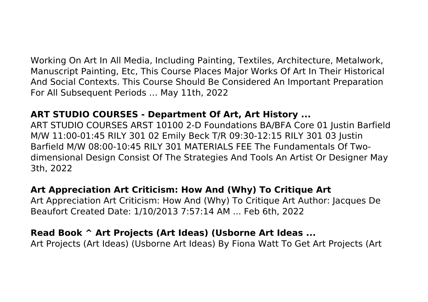Working On Art In All Media, Including Painting, Textiles, Architecture, Metalwork, Manuscript Painting, Etc, This Course Places Major Works Of Art In Their Historical And Social Contexts. This Course Should Be Considered An Important Preparation For All Subsequent Periods … May 11th, 2022

#### **ART STUDIO COURSES - Department Of Art, Art History ...**

ART STUDIO COURSES ARST 10100 2-D Foundations BA/BFA Core 01 Justin Barfield M/W 11:00-01:45 RILY 301 02 Emily Beck T/R 09:30-12:15 RILY 301 03 Justin Barfield M/W 08:00-10:45 RILY 301 MATERIALS FEE The Fundamentals Of Twodimensional Design Consist Of The Strategies And Tools An Artist Or Designer May 3th, 2022

#### **Art Appreciation Art Criticism: How And (Why) To Critique Art**

Art Appreciation Art Criticism: How And (Why) To Critique Art Author: Jacques De Beaufort Created Date: 1/10/2013 7:57:14 AM ... Feb 6th, 2022

#### **Read Book ^ Art Projects (Art Ideas) (Usborne Art Ideas ...**

Art Projects (Art Ideas) (Usborne Art Ideas) By Fiona Watt To Get Art Projects (Art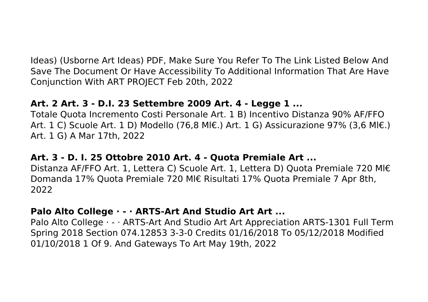Ideas) (Usborne Art Ideas) PDF, Make Sure You Refer To The Link Listed Below And Save The Document Or Have Accessibility To Additional Information That Are Have Conjunction With ART PROJECT Feb 20th, 2022

## **Art. 2 Art. 3 - D.I. 23 Settembre 2009 Art. 4 - Legge 1 ...**

Totale Quota Incremento Costi Personale Art. 1 B) Incentivo Distanza 90% AF/FFO Art. 1 C) Scuole Art. 1 D) Modello (76,8 Ml€.) Art. 1 G) Assicurazione 97% (3,6 Ml€.) Art. 1 G) A Mar 17th, 2022

## **Art. 3 - D. I. 25 Ottobre 2010 Art. 4 - Quota Premiale Art ...**

Distanza AF/FFO Art. 1, Lettera C) Scuole Art. 1, Lettera D) Quota Premiale 720 Ml€ Domanda 17% Quota Premiale 720 Ml€ Risultati 17% Quota Premiale 7 Apr 8th, 2022

#### **Palo Alto College · - · ARTS-Art And Studio Art Art ...**

Palo Alto College · - · ARTS-Art And Studio Art Art Appreciation ARTS-1301 Full Term Spring 2018 Section 074.12853 3-3-0 Credits 01/16/2018 To 05/12/2018 Modified 01/10/2018 1 Of 9. And Gateways To Art May 19th, 2022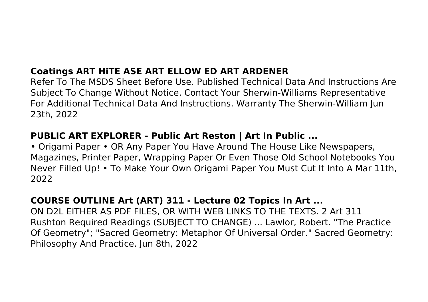# **Coatings ART HiTE ASE ART ELLOW ED ART ARDENER**

Refer To The MSDS Sheet Before Use. Published Technical Data And Instructions Are Subject To Change Without Notice. Contact Your Sherwin-Williams Representative For Additional Technical Data And Instructions. Warranty The Sherwin-William Jun 23th, 2022

#### **PUBLIC ART EXPLORER - Public Art Reston | Art In Public ...**

• Origami Paper • OR Any Paper You Have Around The House Like Newspapers, Magazines, Printer Paper, Wrapping Paper Or Even Those Old School Notebooks You Never Filled Up! • To Make Your Own Origami Paper You Must Cut It Into A Mar 11th, 2022

#### **COURSE OUTLINE Art (ART) 311 - Lecture 02 Topics In Art ...**

ON D2L EITHER AS PDF FILES, OR WITH WEB LINKS TO THE TEXTS. 2 Art 311 Rushton Required Readings (SUBJECT TO CHANGE) ... Lawlor, Robert. "The Practice Of Geometry"; "Sacred Geometry: Metaphor Of Universal Order." Sacred Geometry: Philosophy And Practice. Jun 8th, 2022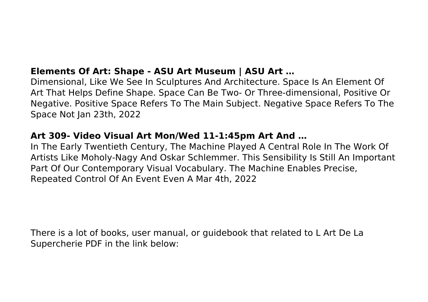## **Elements Of Art: Shape - ASU Art Museum | ASU Art …**

Dimensional, Like We See In Sculptures And Architecture. Space Is An Element Of Art That Helps Define Shape. Space Can Be Two- Or Three-dimensional, Positive Or Negative. Positive Space Refers To The Main Subject. Negative Space Refers To The Space Not Jan 23th, 2022

#### **Art 309- Video Visual Art Mon/Wed 11-1:45pm Art And …**

In The Early Twentieth Century, The Machine Played A Central Role In The Work Of Artists Like Moholy-Nagy And Oskar Schlemmer. This Sensibility Is Still An Important Part Of Our Contemporary Visual Vocabulary. The Machine Enables Precise, Repeated Control Of An Event Even A Mar 4th, 2022

There is a lot of books, user manual, or guidebook that related to L Art De La Supercherie PDF in the link below: